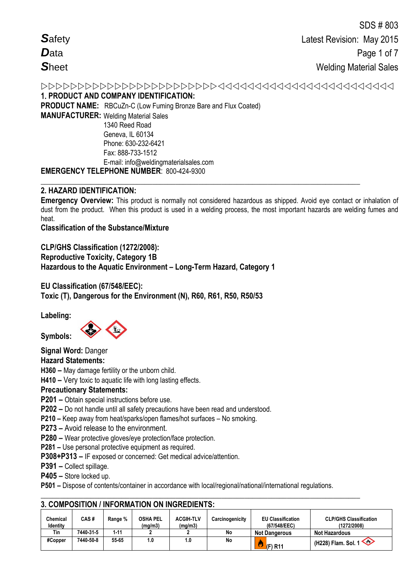Latest Revision: May 2015 Page 1 of 7 **Welding Material Sales** 1. PRODUCT AND COMPANY IDENTIFICATION: **PRODUCT NAME:** RBCuZn-C (Low Fuming Bronze Bare and Flux Coated) **MANUFACTURER: Welding Material Sales** 

1340 Reed Road Geneva. IL 60134 Phone: 630-232-6421 Fax: 888-733-1512 E-mail: info@weldingmaterialsales.com **EMERGENCY TELEPHONE NUMBER: 800-424-9300** 

# 2. HAZARD IDENTIFICATION:

Emergency Overview: This product is normally not considered hazardous as shipped. Avoid eye contact or inhalation of dust from the product. When this product is used in a welding process, the most important hazards are welding fumes and heat.

**Classification of the Substance/Mixture** 

CLP/GHS Classification (1272/2008): **Reproductive Toxicity, Category 1B** Hazardous to the Aquatic Environment - Long-Term Hazard, Category 1

EU Classification (67/548/EEC): Toxic (T), Dangerous for the Environment (N), R60, R61, R50, R50/53

Labeling:



Signal Word: Danger

**Hazard Statements:** 

H360 - May damage fertility or the unborn child.

H410 - Very toxic to aquatic life with long lasting effects.

# **Precautionary Statements:**

P201 - Obtain special instructions before use.

P202 – Do not handle until all safety precautions have been read and understood.

P210 - Keep away from heat/sparks/open flames/hot surfaces - No smoking.

P273 - Avoid release to the environment.

P280 - Wear protective gloves/eye protection/face protection.

P281 - Use personal protective equipment as required.

P308+P313 - IF exposed or concerned: Get medical advice/attention.

P391 - Collect spillage.

P405 - Store locked up.

P501 – Dispose of contents/container in accordance with local/regional/national/international regulations.

| Chemical<br><b>Identity</b> | CAS #     | Range % | <b>OSHA PEL</b><br>(mg/m3) | <b>ACGIH-TLV</b><br>(mg/m3) | Carcinogenicity | <b>EU Classification</b><br>(67/548/EEC) | <b>CLP/GHS Classification</b><br>(1272/2008) |
|-----------------------------|-----------|---------|----------------------------|-----------------------------|-----------------|------------------------------------------|----------------------------------------------|
| Tin                         | 7440-31-5 | 1-11    |                            |                             | No              | <b>Not Dangerous</b>                     | <b>Not Hazardous</b>                         |
| #Copper                     | 7440-50-8 | 55-65   | 1.0                        | 1.O                         | No              | ۵<br>$(F)$ R <sub>11</sub>               | (H228) Flam. Sol. 1                          |

# 3 COMPOSITION / INFORMATION ON INGREDIENTS.

Safety Data **Sheet**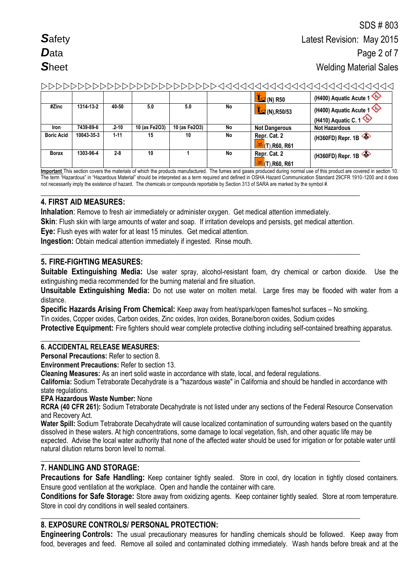# 

|                   |            |           |               |               |    | $\frac{1}{2}$ (N) R50                  | (H400) Aquatic Acute 1                        |
|-------------------|------------|-----------|---------------|---------------|----|----------------------------------------|-----------------------------------------------|
| #Zinc             | 1314-13-2  | 40-50     | 5.0           | 5.0           | No | $\frac{1}{2}$ (N), R50/53              | (H400) Aquatic Acute 1<br>(H410) Aquatic C. 1 |
| <b>Iron</b>       | 7439-89-6  | $.2 - 10$ | 10 (as Fe2O3) | 10 (as Fe2O3) | No | <b>Not Dangerous</b>                   | <b>Not Hazardous</b>                          |
| <b>Boric Acid</b> | 10043-35-3 | $1 - 11$  | 15            | 10            | No | Repr. Cat. 2<br>р,<br>$(T)$ , R60, R61 | (H360FD) Repr. 1B                             |
| <b>Borax</b>      | 1303-96-4  | $2 - 8$   | 10            |               | No | Repr. Cat. 2<br>р,<br>$(T)$ , R60, R61 | (H360FD) Repr. 1B                             |

**Important** This section covers the materials of which the products manufactured. The fumes and gases produced during normal use of this product are covered in section 10. The term "Hazardous" in "Hazardous Material" should be interpreted as a term required and defined in OSHA Hazard Communication Standard 29CFR 1910-1200 and it does not necessarily imply the existence of hazard. The chemicals or compounds reportable by Section 313 of SARA are marked by the symbol #.

### **\_\_\_\_\_\_\_\_\_\_\_\_\_\_\_\_\_\_\_\_\_\_\_\_\_\_\_\_\_\_\_\_\_\_\_\_\_\_\_\_\_\_\_\_\_\_\_\_\_\_\_\_\_\_\_\_\_\_\_\_\_\_\_\_\_\_\_\_\_\_\_\_\_\_\_\_\_\_\_\_\_\_\_ 4. FIRST AID MEASURES:**

**Inhalation**: Remove to fresh air immediately or administer oxygen. Get medical attention immediately.

**Skin**: Flush skin with large amounts of water and soap. If irritation develops and persists, get medical attention.

**\_\_\_\_\_\_\_\_\_\_\_\_\_\_\_\_\_\_\_\_\_\_\_\_\_\_\_\_\_\_\_\_\_\_\_\_\_\_\_\_\_\_\_\_\_\_\_\_\_\_\_\_\_\_\_\_\_\_\_\_\_\_\_\_\_\_\_\_\_\_\_\_\_\_\_\_\_\_\_\_\_\_\_**

**Eye:** Flush eyes with water for at least 15 minutes. Get medical attention.

**Ingestion:** Obtain medical attention immediately if ingested. Rinse mouth.

# **5. FIRE-FIGHTING MEASURES:**

**Suitable Extinguishing Media:** Use water spray, alcohol-resistant foam, dry chemical or carbon dioxide. Use the extinguishing media recommended for the burning material and fire situation.

**Unsuitable Extinguishing Media:** Do not use water on molten metal. Large fires may be flooded with water from a distance.

**Specific Hazards Arising From Chemical:** Keep away from heat/spark/open flames/hot surfaces – No smoking.

Tin oxides, Copper oxides, Carbon oxides, Zinc oxides, Iron oxides, Borane/boron oxides, Sodium oxides

**\_\_\_\_\_\_\_\_\_\_\_\_\_\_\_\_\_\_\_\_\_\_\_\_\_\_\_\_\_\_\_\_\_\_\_\_\_\_\_\_\_\_\_\_\_\_\_\_\_\_\_\_\_\_\_\_\_\_\_\_\_\_\_\_\_\_\_\_\_\_\_\_\_\_\_\_\_\_\_\_\_\_\_**

**Protective Equipment:** Fire fighters should wear complete protective clothing including self-contained breathing apparatus.

# **6. ACCIDENTAL RELEASE MEASURES:**

**Personal Precautions:** Refer to section 8.

**Environment Precautions:** Refer to section 13.

**Cleaning Measures:** As an inert solid waste in accordance with state, local, and federal regulations.

**California:** Sodium Tetraborate Decahydrate is a "hazardous waste" in California and should be handled in accordance with state regulations.

# **EPA Hazardous Waste Number:** None

**RCRA (40 CFR 261):** Sodium Tetraborate Decahydrate is not listed under any sections of the Federal Resource Conservation and Recovery Act.

**Water Spill:** Sodium Tetraborate Decahydrate will cause localized contamination of surrounding waters based on the quantity dissolved in these waters. At high concentrations, some damage to local vegetation, fish, and other aquatic life may be expected. Advise the local water authority that none of the affected water should be used for irrigation or for potable water until natural dilution returns boron level to normal.

**\_\_\_\_\_\_\_\_\_\_\_\_\_\_\_\_\_\_\_\_\_\_\_\_\_\_\_\_\_\_\_\_\_\_\_\_\_\_\_\_\_\_\_\_\_\_\_\_\_\_\_\_\_\_\_\_\_\_\_\_\_\_\_\_\_\_\_\_\_\_\_\_\_\_\_\_\_\_\_\_\_\_\_**

**\_\_\_\_\_\_\_\_\_\_\_\_\_\_\_\_\_\_\_\_\_\_\_\_\_\_\_\_\_\_\_\_\_\_\_\_\_\_\_\_\_\_\_\_\_\_\_\_\_\_\_\_\_\_\_\_\_\_\_\_\_\_\_\_\_\_\_\_\_\_\_\_\_\_\_\_\_\_\_\_\_\_\_**

# **7. HANDLING AND STORAGE:**

**Precautions for Safe Handling:** Keep container tightly sealed. Store in cool, dry location in tightly closed containers. Ensure good ventilation at the workplace. Open and handle the container with care.

**Conditions for Safe Storage:** Store away from oxidizing agents. Keep container tightly sealed. Store at room temperature. Store in cool dry conditions in well sealed containers.

# **8. EXPOSURE CONTROLS/ PERSONAL PROTECTION:**

**Engineering Controls:** The usual precautionary measures for handling chemicals should be followed. Keep away from food, beverages and feed. Remove all soiled and contaminated clothing immediately. Wash hands before break and at the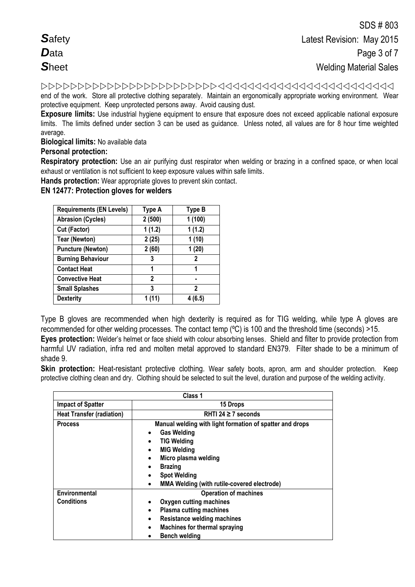end of the work. Store all protective clothing separately. Maintain an ergonomically appropriate working environment. Wear protective equipment. Keep unprotected persons away. Avoid causing dust.

**Exposure limits:** Use industrial hygiene equipment to ensure that exposure does not exceed applicable national exposure limits. The limits defined under section 3 can be used as guidance. Unless noted, all values are for 8 hour time weighted average.

**Biological limits:** No available data

# **Personal protection:**

**Respiratory protection:** Use an air purifying dust respirator when welding or brazing in a confined space, or when local exhaust or ventilation is not sufficient to keep exposure values within safe limits.

**Hands protection:** Wear appropriate gloves to prevent skin contact.

**EN 12477: Protection gloves for welders** 

| <b>Requirements (EN Levels)</b> | Type A       | <b>Type B</b> |
|---------------------------------|--------------|---------------|
| <b>Abrasion (Cycles)</b>        | 2(500)       | 1(100)        |
| Cut (Factor)                    | 1(1.2)       | 1(1.2)        |
| <b>Tear (Newton)</b>            | 2(25)        | 1(10)         |
| <b>Puncture (Newton)</b>        | 2(60)        | 1(20)         |
| <b>Burning Behaviour</b>        | 3            | 2             |
| <b>Contact Heat</b>             | 1            | 1             |
| <b>Convective Heat</b>          | $\mathbf{2}$ |               |
| <b>Small Splashes</b>           | 3            | 2             |
| <b>Dexterity</b>                |              | (6.5)         |

Type B gloves are recommended when high dexterity is required as for TIG welding, while type A gloves are recommended for other welding processes. The contact temp (ºC) is 100 and the threshold time (seconds) >15. **Eyes protection:** Welder's helmet or face shield with colour absorbing lenses. Shield and filter to provide protection from

harmful UV radiation, infra red and molten metal approved to standard EN379. Filter shade to be a minimum of shade 9.

**Skin protection:** Heat-resistant protective clothing. Wear safety boots, apron, arm and shoulder protection. Keep protective clothing clean and dry. Clothing should be selected to suit the level, duration and purpose of the welding activity.

|                                    | Class 1                                                                                                                                                                                                                                                                                        |
|------------------------------------|------------------------------------------------------------------------------------------------------------------------------------------------------------------------------------------------------------------------------------------------------------------------------------------------|
| <b>Impact of Spatter</b>           | 15 Drops                                                                                                                                                                                                                                                                                       |
| <b>Heat Transfer (radiation)</b>   | RHTI 24 $\geq$ 7 seconds                                                                                                                                                                                                                                                                       |
| <b>Process</b>                     | Manual welding with light formation of spatter and drops<br><b>Gas Welding</b><br>$\bullet$<br><b>TIG Welding</b><br><b>MIG Welding</b><br>$\bullet$<br>Micro plasma welding<br>$\bullet$<br><b>Brazing</b><br>$\bullet$<br><b>Spot Welding</b><br>MMA Welding (with rutile-covered electrode) |
| Environmental<br><b>Conditions</b> | <b>Operation of machines</b><br>Oxygen cutting machines<br><b>Plasma cutting machines</b><br><b>Resistance welding machines</b><br>$\bullet$<br><b>Machines for thermal spraying</b><br>$\bullet$<br><b>Bench welding</b>                                                                      |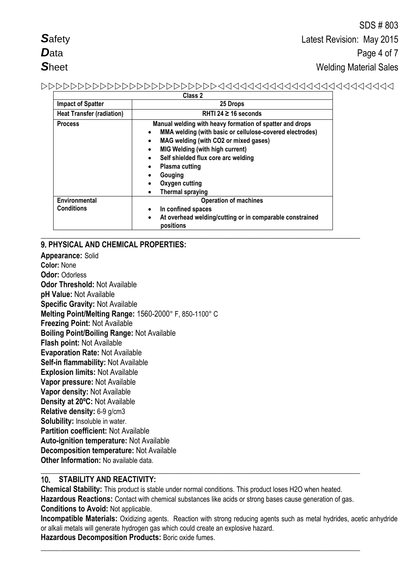| <b>Safety</b> |  |
|---------------|--|
| $\bm{D}$ ata  |  |
| Sheet         |  |

# 

|                                    | ulass z                                                                                                                                                                                                                                                                                                                                                                  |
|------------------------------------|--------------------------------------------------------------------------------------------------------------------------------------------------------------------------------------------------------------------------------------------------------------------------------------------------------------------------------------------------------------------------|
| <b>Impact of Spatter</b>           | 25 Drops                                                                                                                                                                                                                                                                                                                                                                 |
| <b>Heat Transfer (radiation)</b>   | RHTI 24 $\geq$ 16 seconds                                                                                                                                                                                                                                                                                                                                                |
| <b>Process</b>                     | Manual welding with heavy formation of spatter and drops<br>MMA welding (with basic or cellulose-covered electrodes)<br>٠<br>MAG welding (with CO2 or mixed gases)<br>٠<br><b>MIG Welding (with high current)</b><br>$\bullet$<br>Self shielded flux core arc welding<br>$\bullet$<br><b>Plasma cutting</b><br>٠<br>Gouging<br>Oxygen cutting<br><b>Thermal spraying</b> |
| Environmental<br><b>Conditions</b> | <b>Operation of machines</b><br>In confined spaces<br>$\bullet$<br>At overhead welding/cutting or in comparable constrained<br>$\bullet$<br>positions                                                                                                                                                                                                                    |

# 9. PHYSICAL AND CHEMICAL PROPERTIES:

Appearance: Solid Color: None **Odor: Odorless Odor Threshold: Not Available** pH Value: Not Available **Specific Gravity: Not Available** Melting Point/Melting Range: 1560-2000° F, 850-1100° C **Freezing Point: Not Available Boiling Point/Boiling Range: Not Available** Flash point: Not Available Evaporation Rate: Not Available Self-in flammability: Not Available **Explosion limits: Not Available** Vapor pressure: Not Available Vapor density: Not Available Density at 20°C: Not Available Relative density: 6-9 g/cm3 Solubility: Insoluble in water. Partition coefficient: Not Available **Auto-ignition temperature: Not Available Decomposition temperature: Not Available** Other Information: No available data.

#### $10<sub>1</sub>$ **STABILITY AND REACTIVITY:**

Chemical Stability: This product is stable under normal conditions. This product loses H2O when heated. Hazardous Reactions: Contact with chemical substances like acids or strong bases cause generation of gas. **Conditions to Avoid: Not applicable.** 

Incompatible Materials: Oxidizing agents. Reaction with strong reducing agents such as metal hydrides, acetic anhydride or alkali metals will generate hydrogen gas which could create an explosive hazard.

Hazardous Decomposition Products: Boric oxide fumes.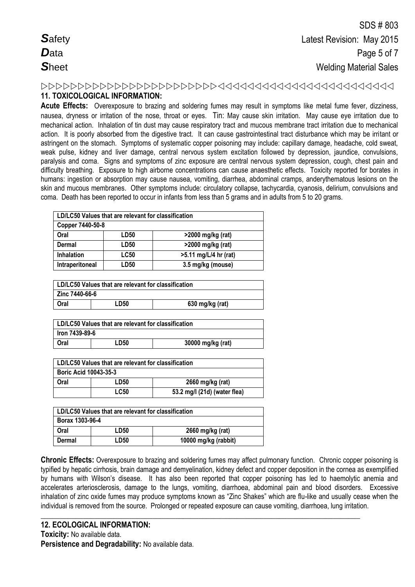# **11. TOXICOLOGICAL INFORMATION:**

**Acute Effects:** Overexposure to brazing and soldering fumes may result in symptoms like metal fume fever, dizziness, nausea, dryness or irritation of the nose, throat or eyes. Tin: May cause skin irritation. May cause eye irritation due to mechanical action. Inhalation of tin dust may cause respiratory tract and mucous membrane tract irritation due to mechanical action. It is poorly absorbed from the digestive tract. It can cause gastrointestinal tract disturbance which may be irritant or astringent on the stomach. Symptoms of systematic copper poisoning may include: capillary damage, headache, cold sweat, weak pulse, kidney and liver damage, central nervous system excitation followed by depression, jaundice, convulsions, paralysis and coma. Signs and symptoms of zinc exposure are central nervous system depression, cough, chest pain and difficulty breathing. Exposure to high airborne concentrations can cause anaesthetic effects. Toxicity reported for borates in humans: ingestion or absorption may cause nausea, vomiting, diarrhea, abdominal cramps, anderythematous lesions on the skin and mucous membranes. Other symptoms include: circulatory collapse, tachycardia, cyanosis, delirium, convulsions and coma. Death has been reported to occur in infants from less than 5 grams and in adults from 5 to 20 grams.

|                   | LD/LC50 Values that are relevant for classification |                       |  |
|-------------------|-----------------------------------------------------|-----------------------|--|
| Copper 7440-50-8  |                                                     |                       |  |
| Oral              | LD <sub>50</sub>                                    | >2000 mg/kg (rat)     |  |
| Dermal            | <b>LD50</b>                                         | >2000 mg/kg (rat)     |  |
| <b>Inhalation</b> | <b>LC50</b>                                         | >5.11 mg/L/4 hr (rat) |  |
| Intraperitoneal   | LD50                                                | 3.5 mg/kg (mouse)     |  |

| LD/LC50 Values that are relevant for classification |      |                 |  |
|-----------------------------------------------------|------|-----------------|--|
| Zinc 7440-66-6                                      |      |                 |  |
| Oral                                                | LD50 | 630 mg/kg (rat) |  |

| LD/LC50 Values that are relevant for classification |      |                   |
|-----------------------------------------------------|------|-------------------|
| lron 7439-89-6                                      |      |                   |
| Oral                                                | LD50 | 30000 mg/kg (rat) |

| LD/LC50 Values that are relevant for classification |             |                              |  |  |
|-----------------------------------------------------|-------------|------------------------------|--|--|
| <b>Boric Acid 10043-35-3</b>                        |             |                              |  |  |
| Oral                                                | LD50        | 2660 mg/kg (rat)             |  |  |
|                                                     | <b>LC50</b> | 53.2 mg/l (21d) (water flea) |  |  |

| LD/LC50 Values that are relevant for classification |      |                      |  |
|-----------------------------------------------------|------|----------------------|--|
| Borax 1303-96-4                                     |      |                      |  |
| Oral                                                | LD50 | 2660 mg/kg (rat)     |  |
| Dermal                                              | LD50 | 10000 mg/kg (rabbit) |  |

**Chronic Effects:** Overexposure to brazing and soldering fumes may affect pulmonary function. Chronic copper poisoning is typified by hepatic cirrhosis, brain damage and demyelination, kidney defect and copper deposition in the cornea as exemplified by humans with Wilson's disease. It has also been reported that copper poisoning has led to haemolytic anemia and accelerates arteriosclerosis, damage to the lungs, vomiting, diarrhoea, abdominal pain and blood disorders. Excessive inhalation of zinc oxide fumes may produce symptoms known as "Zinc Shakes" which are flu-like and usually cease when the individual is removed from the source. Prolonged or repeated exposure can cause vomiting, diarrhoea, lung irritation.

**\_\_\_\_\_\_\_\_\_\_\_\_\_\_\_\_\_\_\_\_\_\_\_\_\_\_\_\_\_\_\_\_\_\_\_\_\_\_\_\_\_\_\_\_\_\_\_\_\_\_\_\_\_\_\_\_\_\_\_\_\_\_\_\_\_\_\_\_\_\_\_\_\_\_\_\_\_\_\_\_\_\_\_**

# **12. ECOLOGICAL INFORMATION: Toxicity:** No available data.

**Persistence and Degradability:** No available data.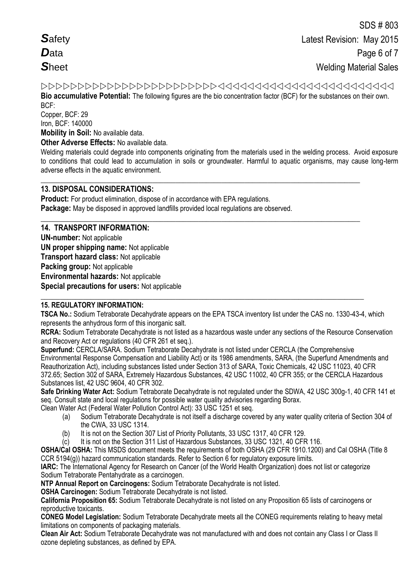**Bio accumulative Potential:** The following figures are the bio concentration factor (BCF) for the substances on their own. BCF:

Copper, BCF: 29 Iron, BCF: 140000 **Mobility in Soil:** No available data.

**Other Adverse Effects:** No available data.

Welding materials could degrade into components originating from the materials used in the welding process. Avoid exposure to conditions that could lead to accumulation in soils or groundwater. Harmful to aquatic organisms, may cause long-term adverse effects in the aquatic environment.

**\_\_\_\_\_\_\_\_\_\_\_\_\_\_\_\_\_\_\_\_\_\_\_\_\_\_\_\_\_\_\_\_\_\_\_\_\_\_\_\_\_\_\_\_\_\_\_\_\_\_\_\_\_\_\_\_\_\_\_\_\_\_\_\_\_\_\_\_\_\_\_\_\_\_\_\_\_\_\_\_\_\_\_**

**\_\_\_\_\_\_\_\_\_\_\_\_\_\_\_\_\_\_\_\_\_\_\_\_\_\_\_\_\_\_\_\_\_\_\_\_\_\_\_\_\_\_\_\_\_\_\_\_\_\_\_\_\_\_\_\_\_\_\_\_\_\_\_\_\_\_\_\_\_\_\_\_\_\_\_\_\_\_\_\_\_\_\_**

# **13. DISPOSAL CONSIDERATIONS:**

**Product:** For product elimination, dispose of in accordance with EPA regulations. **Package:** May be disposed in approved landfills provided local regulations are observed.

# **14. TRANSPORT INFORMATION:**

**UN-number:** Not applicable **UN proper shipping name:** Not applicable **Transport hazard class:** Not applicable **Packing group:** Not applicable **Environmental hazards:** Not applicable **Special precautions for users:** Not applicable

# **15. REGULATORY INFORMATION:**

**TSCA No.:** Sodium Tetraborate Decahydrate appears on the EPA TSCA inventory list under the CAS no. 1330-43-4, which represents the anhydrous form of this inorganic salt.

**\_\_\_\_\_\_\_\_\_\_\_\_\_\_\_\_\_\_\_\_\_\_\_\_\_\_\_\_\_\_\_\_\_\_\_\_\_\_\_\_\_\_\_\_\_\_\_\_\_\_\_\_\_\_\_\_\_\_\_\_\_\_\_\_\_\_\_\_\_\_\_\_\_\_\_\_\_\_\_\_\_\_\_\_**

**RCRA:** Sodium Tetraborate Decahydrate is not listed as a hazardous waste under any sections of the Resource Conservation and Recovery Act or regulations (40 CFR 261 et seq.).

**Superfund:** CERCLA/SARA. Sodium Tetraborate Decahydrate is not listed under CERCLA (the Comprehensive Environmental Response Compensation and Liability Act) or its 1986 amendments, SARA, (the Superfund Amendments and Reauthorization Act), including substances listed under Section 313 of SARA, Toxic Chemicals, 42 USC 11023, 40 CFR 372.65; Section 302 of SARA, Extremely Hazardous Substances, 42 USC 11002, 40 CFR 355; or the CERCLA Hazardous Substances list, 42 USC 9604, 40 CFR 302.

**Safe Drinking Water Act:** Sodium Tetraborate Decahydrate is not regulated under the SDWA, 42 USC 300g-1, 40 CFR 141 et seq. Consult state and local regulations for possible water quality advisories regarding Borax.

Clean Water Act (Federal Water Pollution Control Act): 33 USC 1251 et seq.

- (a) Sodium Tetraborate Decahydrate is not itself a discharge covered by any water quality criteria of Section 304 of the CWA, 33 USC 1314.
- (b) It is not on the Section 307 List of Priority Pollutants, 33 USC 1317, 40 CFR 129.
- (c) It is not on the Section 311 List of Hazardous Substances, 33 USC 1321, 40 CFR 116.

**OSHA/Cal OSHA:** This MSDS document meets the requirements of both OSHA (29 CFR 1910.1200) and Cal OSHA (Title 8 CCR 5194(g)) hazard communication standards. Refer to Section 6 for regulatory exposure limits.

**IARC:** The International Agency for Research on Cancer (of the World Health Organization) does not list or categorize Sodium Tetraborate Pentahydrate as a carcinogen.

**NTP Annual Report on Carcinogens:** Sodium Tetraborate Decahydrate is not listed.

**OSHA Carcinogen:** Sodium Tetraborate Decahydrate is not listed.

**California Proposition 65:** Sodium Tetraborate Decahydrate is not listed on any Proposition 65 lists of carcinogens or reproductive toxicants.

**CONEG Model Legislation:** Sodium Tetraborate Decahydrate meets all the CONEG requirements relating to heavy metal limitations on components of packaging materials.

**Clean Air Act:** Sodium Tetraborate Decahydrate was not manufactured with and does not contain any Class I or Class II ozone depleting substances, as defined by EPA.